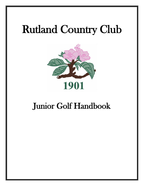# Rutland Country Club



# Junior Golf Handbook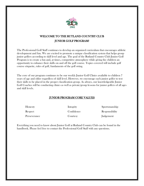

# WELCOME TO THE RUTLAND COUNTRY CLUB JUNIOR GOLF PROGRAM!

The Professional Golf Staff continues to develop an organized curriculum that encourages athletic development and fun. We are excited to promote a unique classification system that helps group junior golfers according to skill level and age. The goal of the Rutland Country Club Junior Golf Program is to create a fun and, at times, competitive atmosphere while giving the children an opportunity to enhance their skills on and off the golf course. Topics covered will include golf course etiquette, rules of golf, fundaments of the golf swing.

The core of our program continues to be our weekly Junior Golf Clinics available to children 7 years of age and older regardless of skill level. However, we encourage each junior golfer to test their skills to be placed in the proper classification group. As always, our knowledgeable Junior Golf Coaches will be conducting clinics as well as private/group lessons for junior golfers of all ages and skill levels.

# JUNIOR PROGRAM CORE VALUES

| Honesty      | Integrity<br>Confidence | Sportsmanship<br>Responsibility |
|--------------|-------------------------|---------------------------------|
| Respect      |                         |                                 |
| Perseverance | Courtesy                | Judgement                       |

Everything you need to know about Junior Golf at Rutland Country Club can be found in the handbook. Please feel free to contact the Professional Golf Staff with any questions.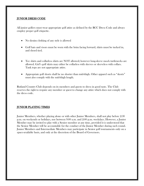#### JUNIOR DRESS CODE

All junior golfers must wear appropriate golf attire as defined by the RCC Dress Code and always employ proper golf etiquette.

- No denim clothing of any style is allowed
- Golf hats and visors must be worn with the brim facing forward, shirts must be tucked in, and shoed tied.
- Tee shirts and collarless shirts are NOT allowed; however long-sleeve mock turtlenecks are allowed. Girl's golf skirts may either be collarless with sleeves or sleeveless with collars. Tank tops are not appropriate attire.
- Appropriate golf shorts shall be no shorter than mid-thigh. Other apparel such as "skorts" must also comply with the mid-thigh length.

Rutland Country Club depends on its members and guests to dress in good taste. The Club reserves the right to require any member or guest to change any attire which does not comply with the dress code.

#### JUNIOR PLAYING TIMES

Junior Members, whether playing alone or with other Junior Members, shall not play before 2:30 p.m. on weekends or holidays, nor between 9:00 a.m. and 2:00 p.m. weekdays. However, a Junior Member may be invited to play with a Senior member at any time, provided it is understood that the Senior Member will be accountable for the conduct of the Junior Member during such round. Junior Members and Intermediate Members may participate in Senior golf tournaments only on a space-available basis, and only at the discretion of the Board of Governors.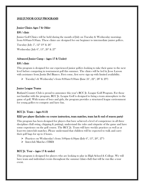#### 2022 JUNIOR GOLF PROGRAMS

#### Junior Clinics Ages 7 & Older

#### \$30 / clinic

Junior Golf Clinics will be held during the month of July on Tuesday & Wednesday mornings from 8:00am-9:30am. These clinics are designed for our beginner to intermediate junior golfers.

Tuesday: July  $5^{\text{th}}$ ,  $12^{\text{th}}$ ,  $19^{\text{th}}$  &  $26^{\text{th}}$ 

Wednesday: July  $6^{\text{th}}$ ,  $13^{\text{th}}$ ,  $20^{\text{th}}$  &  $27^{\text{th}}$ 

# Advanced Junior Camp – (ages 17 & Under)

#### \$30 / clinic

This program is designed for our experienced junior golfers looking to take their game to the next level before competing in tournament golf this summer. The clinics will be led by Jesse Larson with assistance from Justin Del Bianco. First come, first serve sign up with limited availability.

 $\triangleright$  Tuesday's & Wednesday's from 8:00am-9:30am (June 21<sup>st</sup>, 22<sup>nd</sup>, 28<sup>th</sup> & 29<sup>th</sup>)

#### Junior League Teams

Rutland Country Club is proud to announce this year's RCC Jr. League Golf Program. For those not familiar with the program, RCC Jr. League Golf is designed to bring a team atmosphere to the game of golf. With teams of boys and girls, the program provides a structured league environment for young golfers to compete and have fun.

# RCC Jr. Team – (ages 8-13)

#### \$225 per player (Includes on course instruction, team matches, team hat & end of season party)

This program has been designed for players that have achieved a level of competence in all three disciplines (full swing, chipping & putting), understand the rules and etiquette of the game and have some experience on the golf course. The RCC Jr. Team will have weekly practices as well as at least two interclub matches. Please understand that children will be expected to walk and carry their golf bags for up to 2 hours.

- $\triangleright$  Practices on Wednesday's from 3:00pm-4:30pm (July 6<sup>th</sup>, 13<sup>th</sup>, 20<sup>th</sup>, 27<sup>th</sup>)
- ➢ Interclub Matches (TBD)

# RCC Jr. Tour – (ages 17 & under)

This program is designed for players who are looking to play in High School & College. We will have team and individual events throughout the summer (dates tbd) that will be run like a tour event.